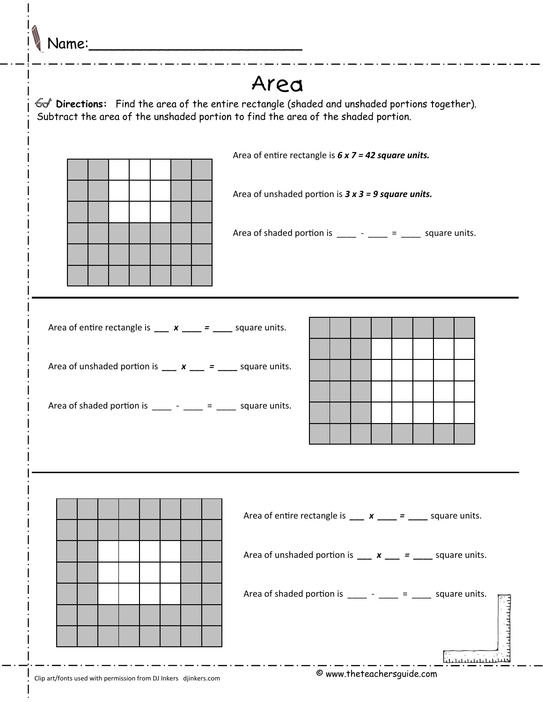Name:\_\_\_\_\_\_\_\_\_\_\_\_\_\_\_\_\_\_\_\_\_\_\_\_

## Area **Directions:** Find the area of the entire rectangle (shaded and unshaded portions together). Subtract the area of the unshaded portion to find the area of the shaded portion. Area of entire rectangle is **6 x 7 = 42 square units.** Area of unshaded portion is  $3 \times 3 = 9$  square units. Area of shaded portion is  $\frac{1}{2}$  -  $\frac{1}{2}$  =  $\frac{1}{2}$  square units. Area of entire rectangle is  $\frac{u}{u}$  **x**  $\frac{u}{u} = \frac{u}{u}$  square units. Area of unshaded portion is  $\frac{\ }{2}$  **x**  $\frac{\ }{2}$  =  $\frac{\ }{2}$  square units. Area of shaded portion is  $\frac{1}{2}$  -  $\frac{1}{2}$  =  $\frac{1}{2}$  square units. Area of entire rectangle is  $\frac{\ }{2}$  **x**  $\frac{\ }{2}$  =  $\frac{\ }{2}$  square units. Area of unshaded portion is  $\frac{\ }{2}$  **x**  $\frac{\ }{2}$  =  $\frac{\ }{2}$  square units. Area of shaded portion is  $\frac{1}{2}$  -  $\frac{1}{2}$  =  $\frac{1}{2}$  square units. <u>uurinininin</u> لتنشسسسنا